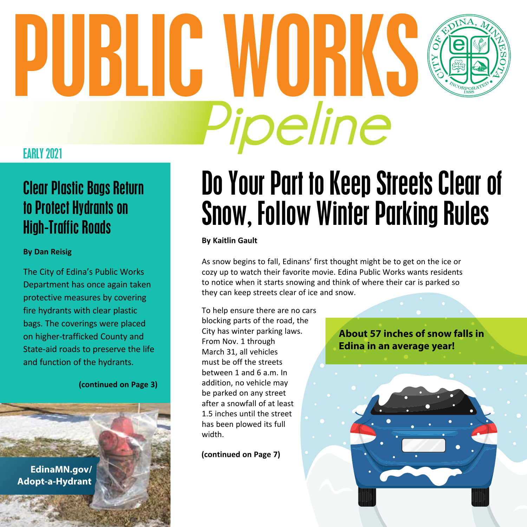# **Pipeline** PUBLIC WORKS



## Clear Plastic Bags Return to Protect Hydrants on High-Traffic Roads

### **By Dan Reisig**

The City of Edina's Public Works Department has once again taken protective measures by covering fire hydrants with clear plastic bags. The coverings were placed on higher-trafficked County and State-aid roads to preserve the life and function of the hydrants.

**(continued on Page 3)**

**[EdinaMN.gov/](http://EdinaMN.gov/Adopt-a-Hydrant) Adopt-a-Hydrant**

## Do Your Part to Keep Streets Clear of Snow, Follow Winter Parking Rules

#### **By Kaitlin Gault**

As snow begins to fall, Edinans' first thought might be to get on the ice or cozy up to watch their favorite movie. Edina Public Works wants residents to notice when it starts snowing and think of where their car is parked so they can keep streets clear of ice and snow.

To help ensure there are no cars blocking parts of the road, the City has winter parking laws. From Nov. 1 through March 31, all vehicles must be off the streets between 1 and 6 a.m. In addition, no vehicle may be parked on any street after a snowfall of at least 1.5 inches until the street has been plowed its full width.

**(continued on Page 7)**

**About 57 inches of snow falls in Edina in an average year!**

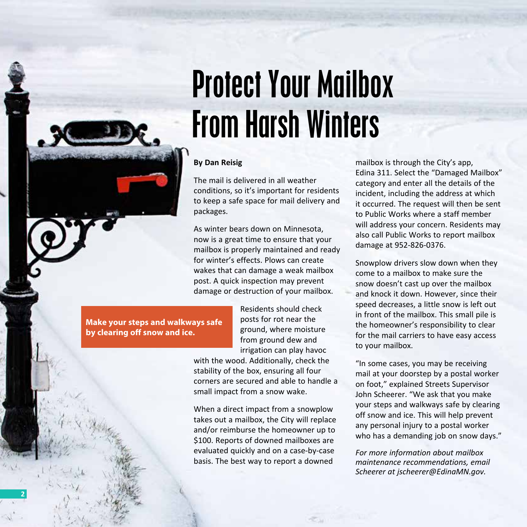## Protect Your Mailbox From Harsh Winters

#### **By Dan Reisig**

The mail is delivered in all weather conditions, so it's important for residents to keep a safe space for mail delivery and packages.

As winter bears down on Minnesota, now is a great time to ensure that your mailbox is properly maintained and ready for winter's effects. Plows can create wakes that can damage a weak mailbox post. A quick inspection may prevent damage or destruction of your mailbox.

> Residents should check posts for rot near the ground, where moisture from ground dew and irrigation can play havoc

with the wood. Additionally, check the stability of the box, ensuring all four corners are secured and able to handle a small impact from a snow wake.

When a direct impact from a snowplow takes out a mailbox, the City will replace and/or reimburse the homeowner up to \$100. Reports of downed mailboxes are evaluated quickly and on a case-by-case basis. The best way to report a downed

mailbox is through the City's app, Edina 311. Select the "Damaged Mailbox" category and enter all the details of the incident, including the address at which it occurred. The request will then be sent to Public Works where a staff member will address your concern. Residents may also call Public Works to report mailbox damage at 952-826-0376.

Snowplow drivers slow down when they come to a mailbox to make sure the snow doesn't cast up over the mailbox and knock it down. However, since their speed decreases, a little snow is left out in front of the mailbox. This small pile is the homeowner's responsibility to clear for the mail carriers to have easy access to your mailbox.

"In some cases, you may be receiving mail at your doorstep by a postal worker on foot," explained Streets Supervisor John Scheerer. "We ask that you make your steps and walkways safe by clearing off snow and ice. This will help prevent any personal injury to a postal worker who has a demanding job on snow days."

*For more information about mailbox maintenance recommendations, email Scheerer at [jscheerer@EdinaMN.gov.](mailto:jscheerer@EdinaMN.gov)* 

**Make your steps and walkways safe by clearing off snow and ice.**

**2**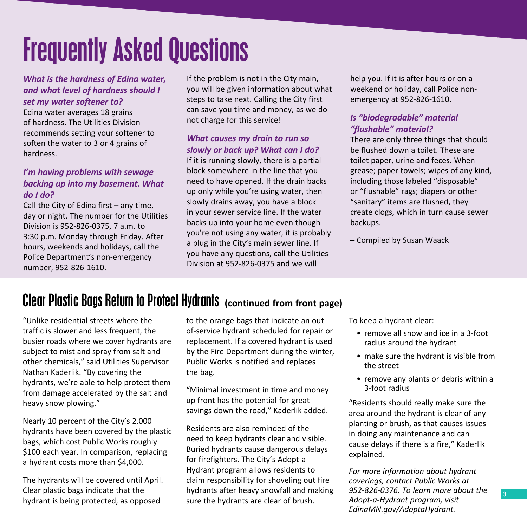## Frequently Asked Questions

*What is the hardness of Edina water, and what level of hardness should I set my water softener to?* 

Edina water averages 18 grains of hardness. The Utilities Division recommends setting your softener to soften the water to 3 or 4 grains of hardness.

### *I'm having problems with sewage backing up into my basement. What do I do?*

Call the City of Edina first – any time, day or night. The number for the Utilities Division is 952-826-0375, 7 a.m. to 3:30 p.m. Monday through Friday. After hours, weekends and holidays, call the Police Department's non-emergency number, 952-826-1610.

If the problem is not in the City main, you will be given information about what steps to take next. Calling the City first can save you time and money, as we do not charge for this service!

### *What causes my drain to run so slowly or back up? What can I do?*

If it is running slowly, there is a partial block somewhere in the line that you need to have opened. If the drain backs up only while you're using water, then slowly drains away, you have a block in your sewer service line. If the water backs up into your home even though you're not using any water, it is probably a plug in the City's main sewer line. If you have any questions, call the Utilities Division at 952-826-0375 and we will

help you. If it is after hours or on a weekend or holiday, call Police nonemergency at 952-826-1610.

### *Is "biodegradable" material "flushable" material?*

There are only three things that should be flushed down a toilet. These are toilet paper, urine and feces. When grease; paper towels; wipes of any kind, including those labeled "disposable" or "flushable" rags; diapers or other "sanitary" items are flushed, they create clogs, which in turn cause sewer backups.

– Compiled by Susan Waack

## Clear Plastic Bags Return to Protect Hydrants **(continued from front page)**

"Unlike residential streets where the traffic is slower and less frequent, the busier roads where we cover hydrants are subject to mist and spray from salt and other chemicals," said Utilities Supervisor Nathan Kaderlik. "By covering the hydrants, we're able to help protect them from damage accelerated by the salt and heavy snow plowing."

Nearly 10 percent of the City's 2,000 hydrants have been covered by the plastic bags, which cost Public Works roughly \$100 each year. In comparison, replacing a hydrant costs more than \$4,000.

The hydrants will be covered until April. Clear plastic bags indicate that the hydrant is being protected, as opposed

to the orange bags that indicate an outof-service hydrant scheduled for repair or replacement. If a covered hydrant is used by the Fire Department during the winter, Public Works is notified and replaces the bag.

"Minimal investment in time and money up front has the potential for great savings down the road," Kaderlik added.

Residents are also reminded of the need to keep hydrants clear and visible. Buried hydrants cause dangerous delays for firefighters. The City's Adopt-a-Hydrant program allows residents to claim responsibility for shoveling out fire hydrants after heavy snowfall and making sure the hydrants are clear of brush.

To keep a hydrant clear:

- remove all snow and ice in a 3-foot radius around the hydrant
- make sure the hydrant is visible from the street
- remove any plants or debris within a 3-foot radius

"Residents should really make sure the area around the hydrant is clear of any planting or brush, as that causes issues in doing any maintenance and can cause delays if there is a fire," Kaderlik explained.

*For more information about hydrant coverings, contact Public Works at 952-826-0376. To learn more about the Adopt-a-Hydrant program, visit [EdinaMN.gov/AdoptaHydrant](http://EdinaMN.gov/AdoptaHydrant).*

**3**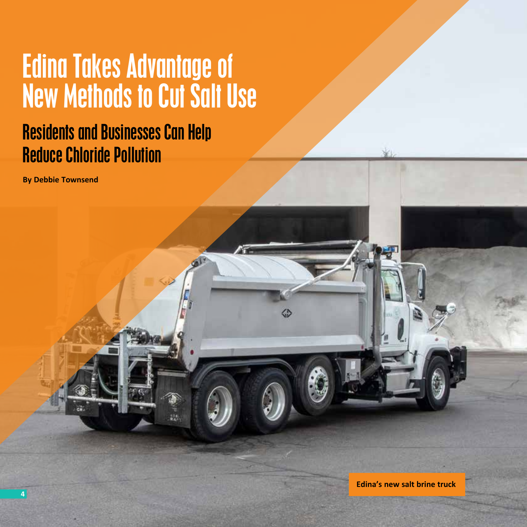## Edina Takes Advantage of New Methods to Cut Salt Use

## Residents and Businesses Can Help Reduce Chloride Pollution

**By Debbie Townsend**

**Edina's new salt brine truck**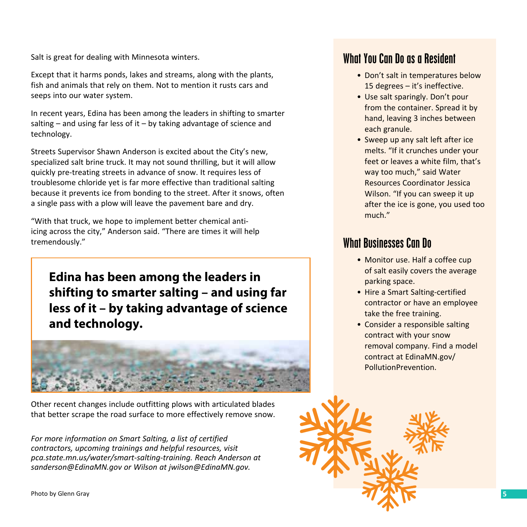Salt is great for dealing with Minnesota winters.

Except that it harms ponds, lakes and streams, along with the plants, fish and animals that rely on them. Not to mention it rusts cars and seeps into our water system.

In recent years, Edina has been among the leaders in shifting to smarter salting  $-$  and using far less of it  $-$  by taking advantage of science and technology.

Streets Supervisor Shawn Anderson is excited about the City's new, specialized salt brine truck. It may not sound thrilling, but it will allow quickly pre-treating streets in advance of snow. It requires less of troublesome chloride yet is far more effective than traditional salting because it prevents ice from bonding to the street. After it snows, often a single pass with a plow will leave the pavement bare and dry.

"With that truck, we hope to implement better chemical antiicing across the city," Anderson said. "There are times it will help tremendously."

**Edina has been among the leaders in shifting to smarter salting – and using far less of it – by taking advantage of science and technology.** 



Other recent changes include outfitting plows with articulated blades that better scrape the road surface to more effectively remove snow.

*For more information on Smart Salting, a list of certified contractors, upcoming trainings and helpful resources, visit [pca.state.mn.us/water/smart-salting-training](http://pca.state.mn.us/water/smart-salting-training). Reach Anderson at [sanderson@EdinaMN.gov](mailto:sanderson@EdinaMN.gov) or Wilson at [jwilson@EdinaMN.gov](mailto:jwilson@EdinaMN.gov).*

## What You Can Do as a Resident

- Don't salt in temperatures below 15 degrees – it's ineffective.
- Use salt sparingly. Don't pour from the container. Spread it by hand, leaving 3 inches between each granule.
- Sweep up any salt left after ice melts. "If it crunches under your feet or leaves a white film, that's way too much," said Water Resources Coordinator Jessica Wilson. "If you can sweep it up after the ice is gone, you used too much."

## What Businesses Can Do

- Monitor use. Half a coffee cup of salt easily covers the average parking space.
- Hire a Smart Salting-certified contractor or have an employee take the free training.
- Consider a responsible salting contract with your snow removal company. Find a model contract at [EdinaMN.gov/](http://EdinaMN.gov/PollutionPrevention) [PollutionPrevention.](http://EdinaMN.gov/PollutionPrevention)

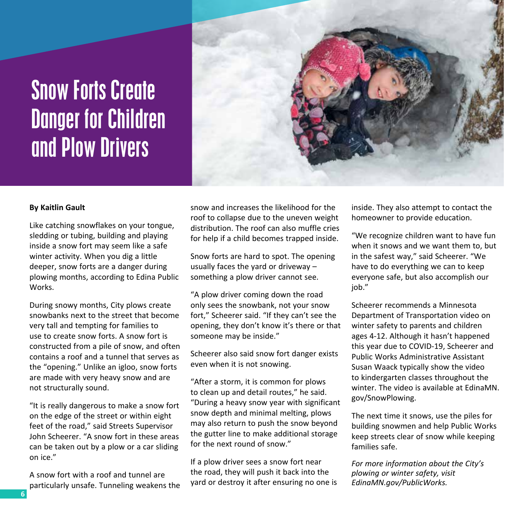## Snow Forts Create Danger for Children and Plow Drivers



#### **By Kaitlin Gault**

Like catching snowflakes on your tongue, sledding or tubing, building and playing inside a snow fort may seem like a safe winter activity. When you dig a little deeper, snow forts are a danger during plowing months, according to Edina Public Works.

During snowy months, City plows create snowbanks next to the street that become very tall and tempting for families to use to create snow forts. A snow fort is constructed from a pile of snow, and often contains a roof and a tunnel that serves as the "opening." Unlike an igloo, snow forts are made with very heavy snow and are not structurally sound.

"It is really dangerous to make a snow fort on the edge of the street or within eight feet of the road," said Streets Supervisor John Scheerer. "A snow fort in these areas can be taken out by a plow or a car sliding on ice."

A snow fort with a roof and tunnel are particularly unsafe. Tunneling weakens the snow and increases the likelihood for the roof to collapse due to the uneven weight distribution. The roof can also muffle cries for help if a child becomes trapped inside.

Snow forts are hard to spot. The opening usually faces the yard or driveway – something a plow driver cannot see.

"A plow driver coming down the road only sees the snowbank, not your snow fort," Scheerer said. "If they can't see the opening, they don't know it's there or that someone may be inside."

Scheerer also said snow fort danger exists even when it is not snowing.

"After a storm, it is common for plows to clean up and detail routes," he said. "During a heavy snow year with significant snow depth and minimal melting, plows may also return to push the snow beyond the gutter line to make additional storage for the next round of snow."

If a plow driver sees a snow fort near the road, they will push it back into the yard or destroy it after ensuring no one is inside. They also attempt to contact the homeowner to provide education.

"We recognize children want to have fun when it snows and we want them to, but in the safest way," said Scheerer. "We have to do everything we can to keep everyone safe, but also accomplish our iob."

Scheerer recommends a Minnesota Department of Transportation video on winter safety to parents and children ages 4-12. Although it hasn't happened this year due to COVID-19, Scheerer and Public Works Administrative Assistant Susan Waack typically show the video to kindergarten classes throughout the winter. The video is available at [EdinaMN.](http://EdinaMN.gov/SnowPlowing) [gov/SnowPlowing](http://EdinaMN.gov/SnowPlowing).

The next time it snows, use the piles for building snowmen and help Public Works keep streets clear of snow while keeping families safe.

*For more information about the City's plowing or winter safety, visit [EdinaMN.gov/PublicWorks](http://EdinaMN.gov/PublicWorks).*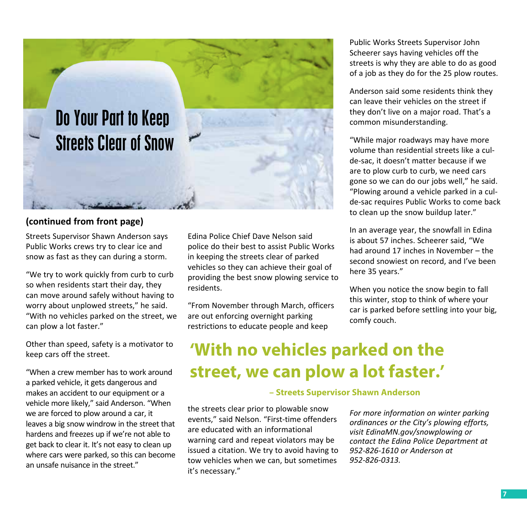

### **(continued from front page)**

Streets Supervisor Shawn Anderson says Public Works crews try to clear ice and snow as fast as they can during a storm.

"We try to work quickly from curb to curb so when residents start their day, they can move around safely without having to worry about unplowed streets," he said. "With no vehicles parked on the street, we can plow a lot faster."

Other than speed, safety is a motivator to keep cars off the street.

"When a crew member has to work around a parked vehicle, it gets dangerous and makes an accident to our equipment or a vehicle more likely," said Anderson. "When we are forced to plow around a car, it leaves a big snow windrow in the street that hardens and freezes up if we're not able to get back to clear it. It's not easy to clean up where cars were parked, so this can become an unsafe nuisance in the street."

Edina Police Chief Dave Nelson said police do their best to assist Public Works in keeping the streets clear of parked vehicles so they can achieve their goal of providing the best snow plowing service to residents.

"From November through March, officers are out enforcing overnight parking restrictions to educate people and keep

Public Works Streets Supervisor John Scheerer says having vehicles off the streets is why they are able to do as good of a job as they do for the 25 plow routes.

Anderson said some residents think they can leave their vehicles on the street if they don't live on a major road. That's a common misunderstanding.

"While major roadways may have more volume than residential streets like a culde-sac, it doesn't matter because if we are to plow curb to curb, we need cars gone so we can do our jobs well," he said. "Plowing around a vehicle parked in a culde-sac requires Public Works to come back to clean up the snow buildup later."

In an average year, the snowfall in Edina is about 57 inches. Scheerer said, "We had around 17 inches in November – the second snowiest on record, and I've been here 35 years."

When you notice the snow begin to fall this winter, stop to think of where your car is parked before settling into your big, comfy couch.

## **'With no vehicles parked on the street, we can plow a lot faster.'**

#### **– Streets Supervisor Shawn Anderson**

the streets clear prior to plowable snow events," said Nelson. "First-time offenders are educated with an informational warning card and repeat violators may be issued a citation. We try to avoid having to tow vehicles when we can, but sometimes it's necessary."

*For more information on winter parking ordinances or the City's plowing efforts, visit [EdinaMN.gov/snowplowing](http://EdinaMN.gov/snowplowing) or contact the Edina Police Department at 952-826-1610 or Anderson at 952-826-0313.*